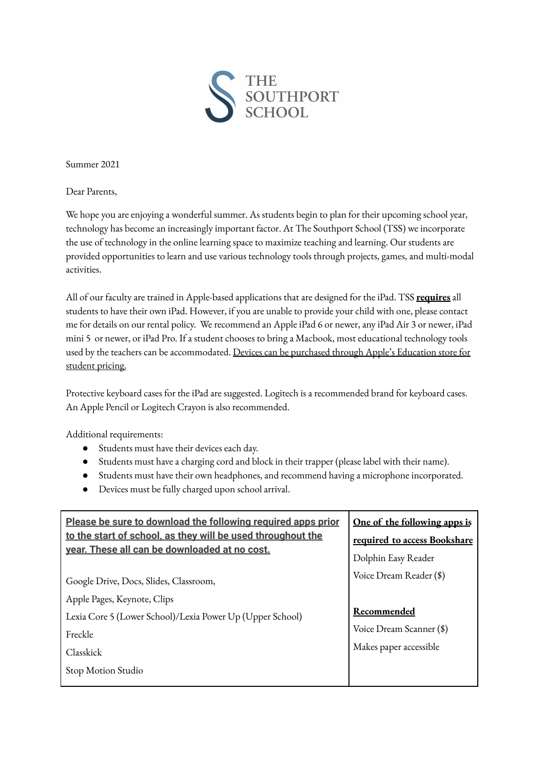

Summer 2021

Dear Parents,

We hope you are enjoying a wonderful summer. As students begin to plan for their upcoming school year, technology has become an increasingly important factor. At The Southport School (TSS) we incorporate the use of technology in the online learning space to maximize teaching and learning. Our students are provided opportunities to learn and use various technology tools through projects, games, and multi-modal activities.

All of our faculty are trained in Apple-based applications that are designed for the iPad. TSS **requires** all students to have their own iPad. However, if you are unable to provide your child with one, please contact me for details on our rental policy. We recommend an Apple iPad 6 or newer, any iPad Air 3 or newer, iPad mini 5 or newer, or iPad Pro. If a student chooses to bring a Macbook, most educational technology tools used by the teachers can be accommodated. Devices can be purchased through Apple's Education store for student pricing.

Protective keyboard cases for the iPad are suggested. Logitech is a recommended brand for keyboard cases. An Apple Pencil or Logitech Crayon is also recommended.

Additional requirements:

- Students must have their devices each day.
- Students must have a charging cord and block in their trapper (please label with their name).
- Students must have their own headphones, and recommend having a microphone incorporated.
- Devices must be fully charged upon school arrival.

| Please be sure to download the following required apps prior | One of the following apps is |
|--------------------------------------------------------------|------------------------------|
| to the start of school, as they will be used throughout the  | required to access Bookshare |
| vear. These all can be downloaded at no cost.                | Dolphin Easy Reader          |
| Google Drive, Docs, Slides, Classroom,                       | Voice Dream Reader (\$)      |
| Apple Pages, Keynote, Clips                                  |                              |
| Lexia Core 5 (Lower School)/Lexia Power Up (Upper School)    | Recommended                  |
| Freckle                                                      | Voice Dream Scanner (\$)     |
| Classkick                                                    | Makes paper accessible       |
| Stop Motion Studio                                           |                              |